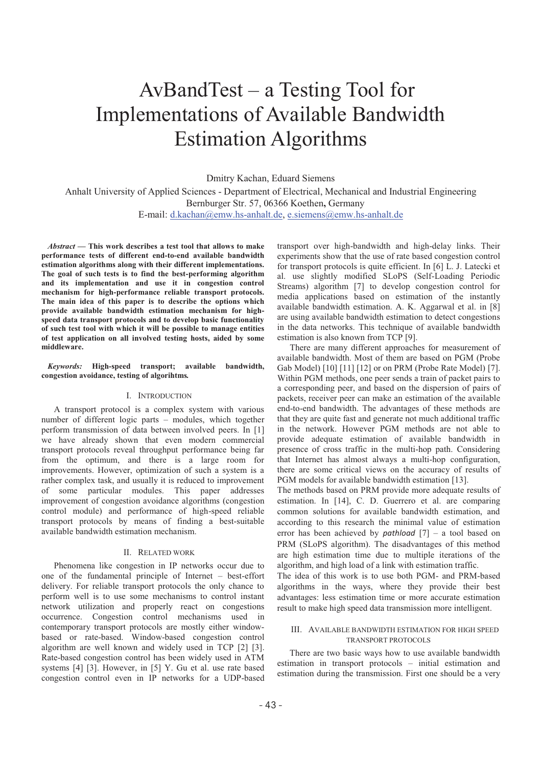# AvBandTest - a Testing Tool for Implementations of Available Bandwidth Estimation Algorithms

Dmitry Kachan, Eduard Siemens

Anhalt University of Applied Sciences - Department of Electrical, Mechanical and Industrial Engineering Bernburger Str. 57, 06366 Koethen**,** Germany E-mail: d.kachan@emw.hs-anhalt.de, e.siemens@emw.hs-anhalt.de

*Abstract* **- This work describes a test tool that allows to make performance tests of different end-to-end available bandwidth estimation algorithms along with their different implementations. The goal of such tests is to find the best-performing algorithm and its implementation and use it in congestion control mechanism for high-performance reliable transport protocols. The main idea of this paper is to describe the options which provide available bandwidth estimation mechanism for highspeed data transport protocols and to develop basic functionality of such test tool with which it will be possible to manage entities of test application on all involved testing hosts, aided by some middleware.** 

*Keywords:* **High-speed transport; available bandwidth, congestion avoidance, testing of algorihtms***.* 

### I. INTRODUCTION

A transport protocol is a complex system with various number of different logic parts - modules, which together perform transmission of data between involved peers. In [1] we have already shown that even modern commercial transport protocols reveal throughput performance being far from the optimum, and there is a large room for improvements. However, optimization of such a system is a rather complex task, and usually it is reduced to improvement of some particular modules. This paper addresses improvement of congestion avoidance algorithms (congestion control module) and performance of high-speed reliable transport protocols by means of finding a best-suitable available bandwidth estimation mechanism.

#### II. RELATED WORK

Phenomena like congestion in IP networks occur due to one of the fundamental principle of Internet - best-effort delivery. For reliable transport protocols the only chance to perform well is to use some mechanisms to control instant network utilization and properly react on congestions occurrence. Congestion control mechanisms used in contemporary transport protocols are mostly either windowbased or rate-based. Window-based congestion control algorithm are well known and widely used in TCP [2] [3]. Rate-based congestion control has been widely used in ATM systems [4] [3]. However, in [5] Y. Gu et al. use rate based congestion control even in IP networks for a UDP-based

transport over high-bandwidth and high-delay links. Their experiments show that the use of rate based congestion control for transport protocols is quite efficient. In [6] L. J. Latecki et al. use slightly modified SLoPS (Self-Loading Periodic Streams) algorithm [7] to develop congestion control for media applications based on estimation of the instantly available bandwidth estimation. A. K. Aggarwal et al. in [8] are using available bandwidth estimation to detect congestions in the data networks. This technique of available bandwidth estimation is also known from TCP [9].

There are many different approaches for measurement of available bandwidth. Most of them are based on PGM (Probe Gab Model) [10] [11] [12] or on PRM (Probe Rate Model) [7]. Within PGM methods, one peer sends a train of packet pairs to a corresponding peer, and based on the dispersion of pairs of packets, receiver peer can make an estimation of the available end-to-end bandwidth. The advantages of these methods are that they are quite fast and generate not much additional traffic in the network. However PGM methods are not able to provide adequate estimation of available bandwidth in presence of cross traffic in the multi-hop path. Considering that Internet has almost always a multi-hop configuration, there are some critical views on the accuracy of results of PGM models for available bandwidth estimation [13].

The methods based on PRM provide more adequate results of estimation. In [14], C. D. Guerrero et al. are comparing common solutions for available bandwidth estimation, and according to this research the minimal value of estimation error has been achieved by *pathload* [7] - a tool based on PRM (SLoPS algorithm). The disadvantages of this method are high estimation time due to multiple iterations of the algorithm, and high load of a link with estimation traffic.

The idea of this work is to use both PGM- and PRM-based algorithms in the ways, where they provide their best advantages: less estimation time or more accurate estimation result to make high speed data transmission more intelligent.

#### III. AVAILABLE BANDWIDTH ESTIMATION FOR HIGH SPEED TRANSPORT PROTOCOLS

There are two basic ways how to use available bandwidth estimation in transport protocols - initial estimation and estimation during the transmission. First one should be a very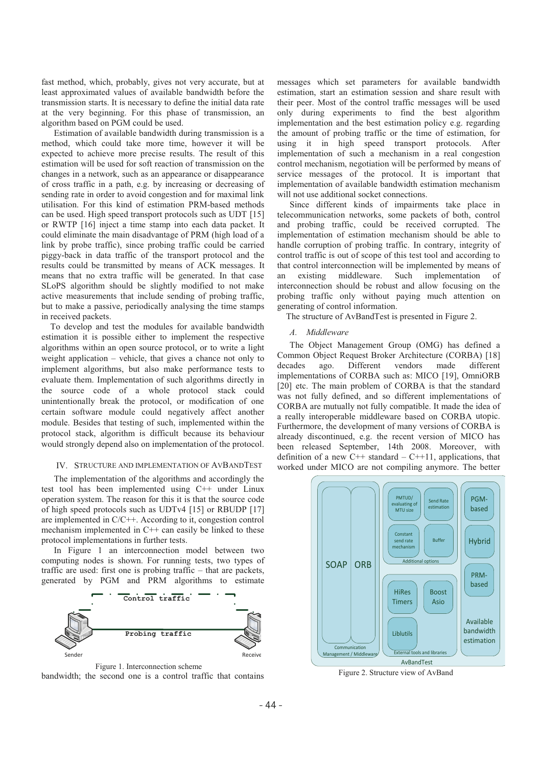fast method, which, probably, gives not very accurate, but at least approximated values of available bandwidth before the transmission starts. It is necessary to define the initial data rate at the very beginning. For this phase of transmission, an algorithm based on PGM could be used.

Estimation of available bandwidth during transmission is a method, which could take more time, however it will be expected to achieve more precise results. The result of this estimation will be used for soft reaction of transmission on the changes in a network, such as an appearance or disappearance of cross traffic in a path, e.g. by increasing or decreasing of sending rate in order to avoid congestion and for maximal link utilisation. For this kind of estimation PRM-based methods can be used. High speed transport protocols such as UDT [15] or RWTP [16] inject a time stamp into each data packet. It could eliminate the main disadvantage of PRM (high load of a link by probe traffic), since probing traffic could be carried piggy-back in data traffic of the transport protocol and the results could be transmitted by means of ACK messages. It means that no extra traffic will be generated. In that case SLoPS algorithm should be slightly modified to not make active measurements that include sending of probing traffic, but to make a passive, periodically analysing the time stamps in received packets.

To develop and test the modules for available bandwidth estimation it is possible either to implement the respective algorithms within an open source protocol, or to write a light weight application - vehicle, that gives a chance not only to implement algorithms, but also make performance tests to evaluate them. Implementation of such algorithms directly in the source code of a whole protocol stack could unintentionally break the protocol, or modification of one certain software module could negatively affect another module. Besides that testing of such, implemented within the protocol stack, algorithm is difficult because its behaviour would strongly depend also on implementation of the protocol.

### IV. STRUCTURE AND IMPLEMENTATION OF AVBANDTEST

The implementation of the algorithms and accordingly the test tool has been implemented using C++ under Linux operation system. The reason for this it is that the source code of high speed protocols such as UDTv4 [15] or RBUDP [17] are implemented in C/C++. According to it, congestion control mechanism implemented in C++ can easily be linked to these protocol implementations in further tests.

In Figure 1 an interconnection model between two computing nodes is shown. For running tests, two types of traffic are used: first one is probing traffic – that are packets, generated by PGM and PRM algorithms to estimate



Figure 1. Interconnection scheme

bandwidth; the second one is a control traffic that contains

messages which set parameters for available bandwidth estimation, start an estimation session and share result with their peer. Most of the control traffic messages will be used only during experiments to find the best algorithm implementation and the best estimation policy e.g. regarding the amount of probing traffic or the time of estimation, for using it in high speed transport protocols. After implementation of such a mechanism in a real congestion control mechanism, negotiation will be performed by means of service messages of the protocol. It is important that implementation of available bandwidth estimation mechanism will not use additional socket connections.

Since different kinds of impairments take place in telecommunication networks, some packets of both, control and probing traffic, could be received corrupted. The implementation of estimation mechanism should be able to handle corruption of probing traffic. In contrary, integrity of control traffic is out of scope of this test tool and according to that control interconnection will be implemented by means of an existing middleware. Such implementation of interconnection should be robust and allow focusing on the probing traffic only without paying much attention on generating of control information.

The structure of AvBandTest is presented in Figure 2.

#### *A. Middleware*

The Object Management Group (OMG) has defined a Common Object Request Broker Architecture (CORBA) [18] decades ago. Different vendors made different implementations of CORBA such as: MICO [19], OmniORB [20] etc. The main problem of CORBA is that the standard was not fully defined, and so different implementations of CORBA are mutually not fully compatible. It made the idea of a really interoperable middleware based on CORBA utopic. Furthermore, the development of many versions of CORBA is already discontinued, e.g. the recent version of MICO has been released September, 14th 2008. Moreover, with definition of a new  $C_{++}$  standard  $-C_{++}$ 11, applications, that worked under MICO are not compiling anymore. The better



Figure 2. Structure view of AvBand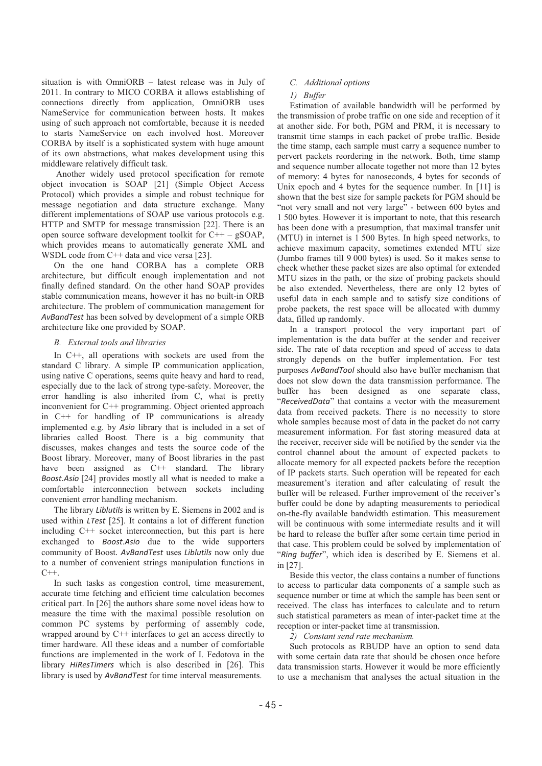situation is with OmniORB - latest release was in July of 2011. In contrary to MICO CORBA it allows establishing of connections directly from application, OmniORB uses NameService for communication between hosts. It makes using of such approach not comfortable, because it is needed to starts NameService on each involved host. Moreover CORBA by itself is a sophisticated system with huge amount of its own abstractions, what makes development using this middleware relatively difficult task.

 Another widely used protocol specification for remote object invocation is SOAP [21] (Simple Object Access Protocol) which provides a simple and robust technique for message negotiation and data structure exchange. Many different implementations of SOAP use various protocols e.g. HTTP and SMTP for message transmission [22]. There is an open source software development toolkit for  $C++ -$  gSOAP, which provides means to automatically generate XML and WSDL code from C<sup>++</sup> data and vice versa [23].

On the one hand CORBA has a complete ORB architecture, but difficult enough implementation and not finally defined standard. On the other hand SOAP provides stable communication means, however it has no built-in ORB architecture. The problem of communication management for *AvBandTest* has been solved by development of a simple ORB architecture like one provided by SOAP.

### *B. External tools and libraries*

In C++, all operations with sockets are used from the standard C library. A simple IP communication application, using native C operations, seems quite heavy and hard to read, especially due to the lack of strong type-safety. Moreover, the error handling is also inherited from C, what is pretty inconvenient for C++ programming. Object oriented approach in C++ for handling of IP communications is already implemented e.g. by *Asio* library that is included in a set of libraries called Boost. There is a big community that discusses, makes changes and tests the source code of the Boost library. Moreover, many of Boost libraries in the past have been assigned as C++ standard. The library *Boost.Asio* [24] provides mostly all what is needed to make a comfortable interconnection between sockets including convenient error handling mechanism.

The library *Liblutils* is written by E. Siemens in 2002 and is used within *LTest* [25]. It contains a lot of different function including C++ socket interconnection, but this part is here exchanged to *Boost*.*Asio* due to the wide supporters community of Boost*. AvBandTest* uses *Liblutils* now only due to a number of convenient strings manipulation functions in  $C++$ .

In such tasks as congestion control, time measurement, accurate time fetching and efficient time calculation becomes critical part. In [26] the authors share some novel ideas how to measure the time with the maximal possible resolution on common PC systems by performing of assembly code, wrapped around by C++ interfaces to get an access directly to timer hardware. All these ideas and a number of comfortable functions are implemented in the work of I. Fedotova in the library *HiResTimers* which is also described in [26]. This library is used by *AvBandTest* for time interval measurements.

### *C. Additional options*

#### *1) Buffer*

Estimation of available bandwidth will be performed by the transmission of probe traffic on one side and reception of it at another side. For both, PGM and PRM, it is necessary to transmit time stamps in each packet of probe traffic. Beside the time stamp, each sample must carry a sequence number to pervert packets reordering in the network. Both, time stamp and sequence number allocate together not more than 12 bytes of memory: 4 bytes for nanoseconds, 4 bytes for seconds of Unix epoch and 4 bytes for the sequence number. In [11] is shown that the best size for sample packets for PGM should be "not very small and not very large" - between 600 bytes and 1 500 bytes. However it is important to note, that this research has been done with a presumption, that maximal transfer unit (MTU) in internet is 1 500 Bytes. In high speed networks, to achieve maximum capacity, sometimes extended MTU size (Jumbo frames till 9 000 bytes) is used. So it makes sense to check whether these packet sizes are also optimal for extended MTU sizes in the path, or the size of probing packets should be also extended. Nevertheless, there are only 12 bytes of useful data in each sample and to satisfy size conditions of probe packets, the rest space will be allocated with dummy data, filled up randomly.

In a transport protocol the very important part of implementation is the data buffer at the sender and receiver side. The rate of data reception and speed of access to data strongly depends on the buffer implementation. For test purposes *AvBandTool* should also have buffer mechanism that does not slow down the data transmission performance. The buffer has been designed as one separate class, "ReceivedData" that contains a vector with the measurement data from received packets. There is no necessity to store whole samples because most of data in the packet do not carry measurement information. For fast storing measured data at the receiver, receiver side will be notified by the sender via the control channel about the amount of expected packets to allocate memory for all expected packets before the reception of IP packets starts. Such operation will be repeated for each measurement's iteration and after calculating of result the buffer will be released. Further improvement of the receiver's buffer could be done by adapting measurements to periodical on-the-fly available bandwidth estimation. This measurement will be continuous with some intermediate results and it will be hard to release the buffer after some certain time period in that case. This problem could be solved by implementation of "Ring buffer", which idea is described by E. Siemens et al. in [27].

Beside this vector, the class contains a number of functions to access to particular data components of a sample such as sequence number or time at which the sample has been sent or received. The class has interfaces to calculate and to return such statistical parameters as mean of inter-packet time at the reception or inter-packet time at transmission.

*2) Constant send rate mechanism.* 

Such protocols as RBUDP have an option to send data with some certain data rate that should be chosen once before data transmission starts. However it would be more efficiently to use a mechanism that analyses the actual situation in the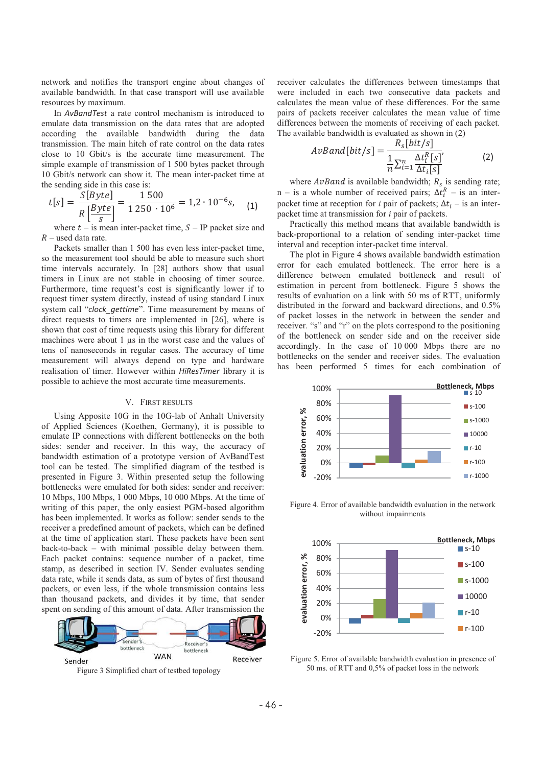network and notifies the transport engine about changes of available bandwidth. In that case transport will use available resources by maximum.

In *AvBandTest* a rate control mechanism is introduced to emulate data transmission on the data rates that are adopted according the available bandwidth during the data transmission. The main hitch of rate control on the data rates close to 10 Gbit/s is the accurate time measurement. The simple example of transmission of 1 500 bytes packet through 10 Gbit/s network can show it. The mean inter-packet time at the sending side in this case is:

$$
t[s] = \frac{S[Byte]}{R\left[\frac{Byte}{s}\right]} = \frac{1\,500}{1\,250 \cdot 10^6} = 1.2 \cdot 10^{-6}s, \quad (1)
$$

where  $t -$  is mean inter-packet time,  $S - IP$  packet size and  $\overline{R}$ - used data rate.

Packets smaller than 1 500 has even less inter-packet time, so the measurement tool should be able to measure such short time intervals accurately. In [28] authors show that usual timers in Linux are not stable in choosing of timer source. Furthermore, time request's cost is significantly lower if to request timer system directly, instead of using standard Linux system call "*clock\_gettime*". Time measurement by means of direct requests to timers are implemented in [26], where is shown that cost of time requests using this library for different machines were about 1 μs in the worst case and the values of tens of nanoseconds in regular cases. The accuracy of time measurement will always depend on type and hardware realisation of timer. However within *HiResTimer* library it is possible to achieve the most accurate time measurements.

# V. FIRST RESULTS

Using Apposite 10G in the 10G-lab of Anhalt University of Applied Sciences (Koethen, Germany), it is possible to emulate IP connections with different bottlenecks on the both sides: sender and receiver. In this way, the accuracy of bandwidth estimation of a prototype version of AvBandTest tool can be tested. The simplified diagram of the testbed is presented in Figure 3. Within presented setup the following bottlenecks were emulated for both sides: sender and receiver: 10 Mbps, 100 Mbps, 1 000 Mbps, 10 000 Mbps. At the time of writing of this paper, the only easiest PGM-based algorithm has been implemented. It works as follow: sender sends to the receiver a predefined amount of packets, which can be defined at the time of application start. These packets have been sent back-to-back - with minimal possible delay between them. Each packet contains: sequence number of a packet, time stamp, as described in section IV. Sender evaluates sending data rate, while it sends data, as sum of bytes of first thousand packets, or even less, if the whole transmission contains less than thousand packets, and divides it by time, that sender spent on sending of this amount of data. After transmission the



Figure 3 Simplified chart of testbed topology

receiver calculates the differences between timestamps that were included in each two consecutive data packets and calculates the mean value of these differences. For the same pairs of packets receiver calculates the mean value of time differences between the moments of receiving of each packet. The available bandwidth is evaluated as shown in (2)<br> $R_s[bit/s]$ 

$$
AvBand[bit/s] = \frac{R_s[bit/s]}{\frac{1}{n} \sum_{i=1}^{n} \frac{\Delta t_i^R[s]}{\Delta t_i[s]}}
$$
(2)

where  $AvBand$  is available bandwidth;  $R_s$  is sending rate;  $n -$  is a whole number of received pairs;  $\Delta t_i^R$  – is an interpacket time at reception for *i* pair of packets;  $\Delta t_i$  – is an interpacket time at transmission for *i* pair of packets.

Practically this method means that available bandwidth is back-proportional to a relation of sending inter-packet time interval and reception inter-packet time interval.

The plot in Figure 4 shows available bandwidth estimation error for each emulated bottleneck. The error here is a difference between emulated bottleneck and result of estimation in percent from bottleneck. Figure 5 shows the results of evaluation on a link with 50 ms of RTT, uniformly distributed in the forward and backward directions, and 0.5% of packet losses in the network in between the sender and receiver. "s" and "r" on the plots correspond to the positioning of the bottleneck on sender side and on the receiver side accordingly. In the case of 10 000 Mbps there are no bottlenecks on the sender and receiver sides. The evaluation has been performed 5 times for each combination of



Figure 4. Error of available bandwidth evaluation in the network without impairments



Figure 5. Error of available bandwidth evaluation in presence of 50 ms. of RTT and 0,5% of packet loss in the network